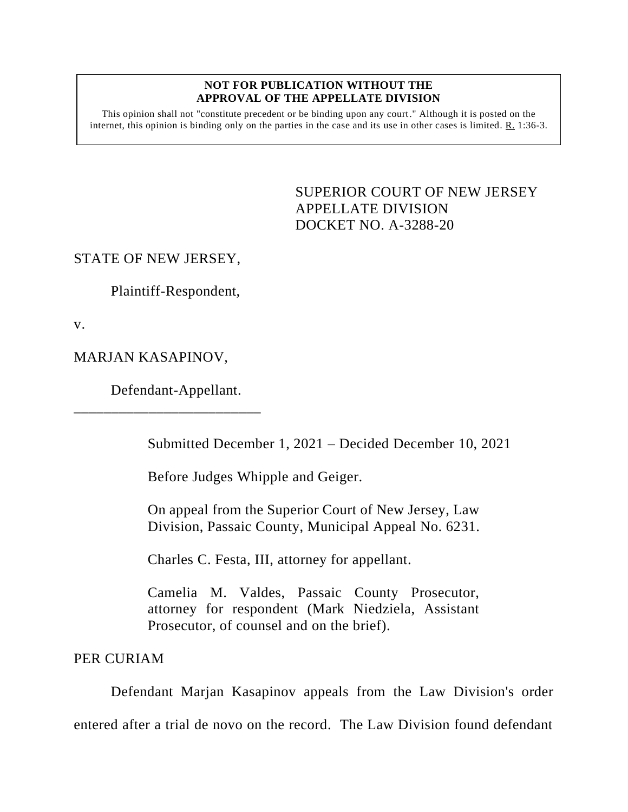## **NOT FOR PUBLICATION WITHOUT THE APPROVAL OF THE APPELLATE DIVISION**

This opinion shall not "constitute precedent or be binding upon any court." Although it is posted on the internet, this opinion is binding only on the parties in the case and its use in other cases is limited. R. 1:36-3.

> <span id="page-0-0"></span>SUPERIOR COURT OF NEW JERSEY APPELLATE DIVISION DOCKET NO. A-3288-20

## STATE OF NEW JERSEY,

Plaintiff-Respondent,

v.

## MARJAN KASAPINOV,

Defendant-Appellant.

\_\_\_\_\_\_\_\_\_\_\_\_\_\_\_\_\_\_\_\_\_\_\_\_\_

Submitted December 1, 2021 – Decided December 10, 2021

Before Judges Whipple and Geiger.

On appeal from the Superior Court of New Jersey, Law Division, Passaic County, Municipal Appeal No. 6231.

Charles C. Festa, III, attorney for appellant.

Camelia M. Valdes, Passaic County Prosecutor, attorney for respondent (Mark Niedziela, Assistant Prosecutor, of counsel and on the brief).

PER CURIAM

Defendant Marjan Kasapinov appeals from the Law Division's order entered after a trial de novo on the record. The Law Division found defendant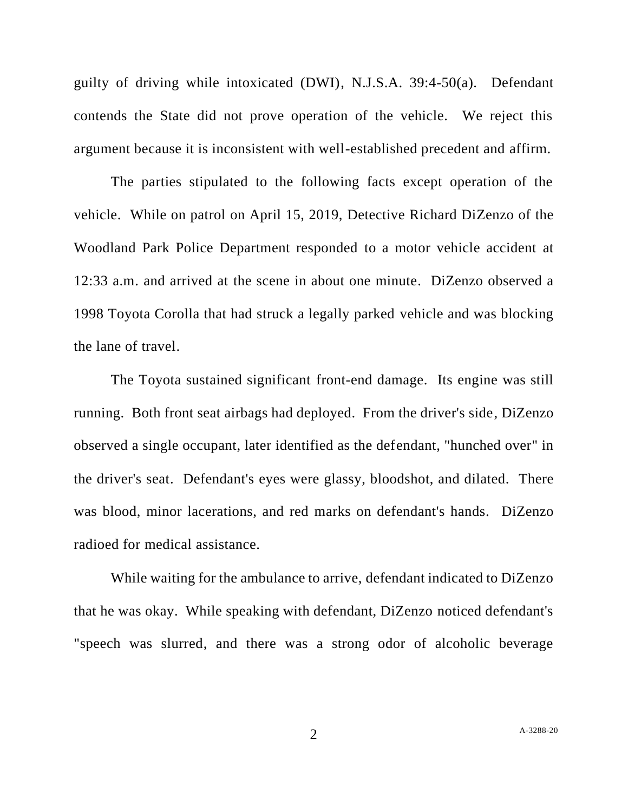guilty of driving while intoxicated (DWI), N.J.S.A. 39:4-50(a). Defendant contends the State did not prove operation of the vehicle. We reject this argument because it is inconsistent with well-established precedent and affirm.

The parties stipulated to the following facts except operation of the vehicle. While on patrol on April 15, 2019, Detective Richard DiZenzo of the Woodland Park Police Department responded to a motor vehicle accident at 12:33 a.m. and arrived at the scene in about one minute. DiZenzo observed a 1998 Toyota Corolla that had struck a legally parked vehicle and was blocking the lane of travel.

The Toyota sustained significant front-end damage. Its engine was still running. Both front seat airbags had deployed. From the driver's side, DiZenzo observed a single occupant, later identified as the defendant, "hunched over" in the driver's seat. Defendant's eyes were glassy, bloodshot, and dilated. There was blood, minor lacerations, and red marks on defendant's hands. DiZenzo radioed for medical assistance.

While waiting for the ambulance to arrive, defendant indicated to DiZenzo that he was okay. While speaking with defendant, DiZenzo noticed defendant's "speech was slurred, and there was a strong odor of alcoholic beverage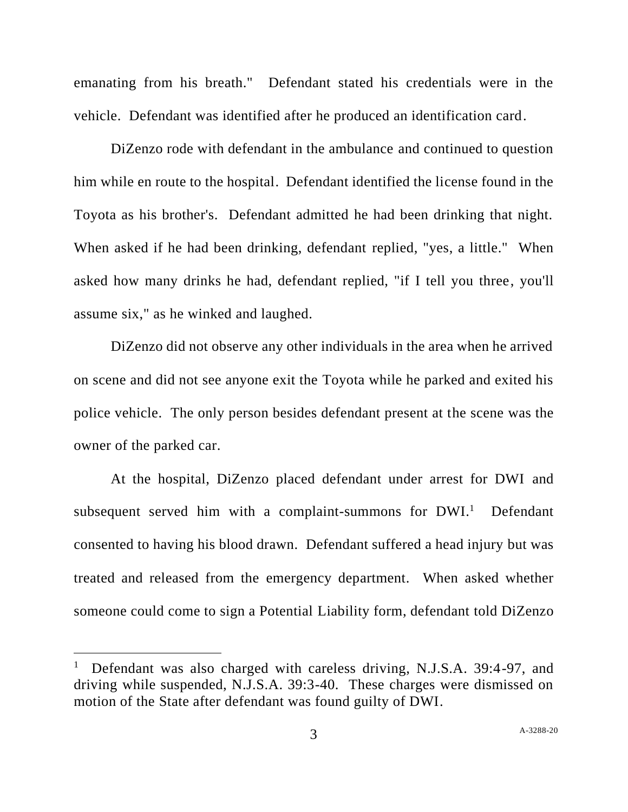emanating from his breath." Defendant stated his credentials were in the vehicle. Defendant was identified after he produced an identification card.

DiZenzo rode with defendant in the ambulance and continued to question him while en route to the hospital. Defendant identified the license found in the Toyota as his brother's. Defendant admitted he had been drinking that night. When asked if he had been drinking, defendant replied, "yes, a little." When asked how many drinks he had, defendant replied, "if I tell you three, you'll assume six," as he winked and laughed.

DiZenzo did not observe any other individuals in the area when he arrived on scene and did not see anyone exit the Toyota while he parked and exited his police vehicle. The only person besides defendant present at the scene was the owner of the parked car.

At the hospital, DiZenzo placed defendant under arrest for DWI and subsequent served him with a complaint-summons for DWI.<sup>1</sup> Defendant consented to having his blood drawn. Defendant suffered a head injury but was treated and released from the emergency department. When asked whether someone could come to sign a Potential Liability form, defendant told DiZenzo

<sup>1</sup> Defendant was also charged with careless driving, N.J.S.A. 39:4-97, and driving while suspended, N.J.S.A. 39:3-40. These charges were dismissed on motion of the State after defendant was found guilty of DWI.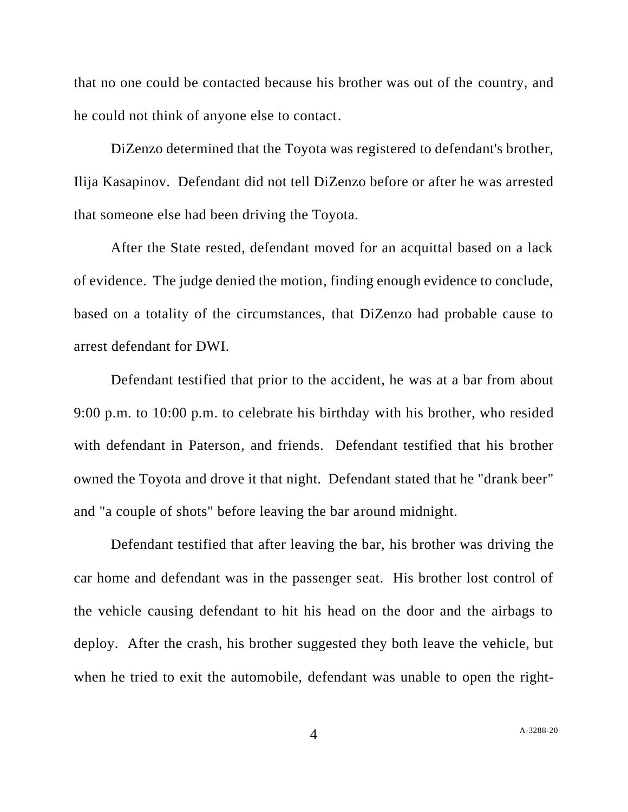that no one could be contacted because his brother was out of the country, and he could not think of anyone else to contact.

DiZenzo determined that the Toyota was registered to defendant's brother, Ilija Kasapinov. Defendant did not tell DiZenzo before or after he was arrested that someone else had been driving the Toyota.

After the State rested, defendant moved for an acquittal based on a lack of evidence. The judge denied the motion, finding enough evidence to conclude, based on a totality of the circumstances, that DiZenzo had probable cause to arrest defendant for DWI.

Defendant testified that prior to the accident, he was at a bar from about 9:00 p.m. to 10:00 p.m. to celebrate his birthday with his brother, who resided with defendant in Paterson, and friends. Defendant testified that his brother owned the Toyota and drove it that night. Defendant stated that he "drank beer" and "a couple of shots" before leaving the bar around midnight.

Defendant testified that after leaving the bar, his brother was driving the car home and defendant was in the passenger seat. His brother lost control of the vehicle causing defendant to hit his head on the door and the airbags to deploy. After the crash, his brother suggested they both leave the vehicle, but when he tried to exit the automobile, defendant was unable to open the right-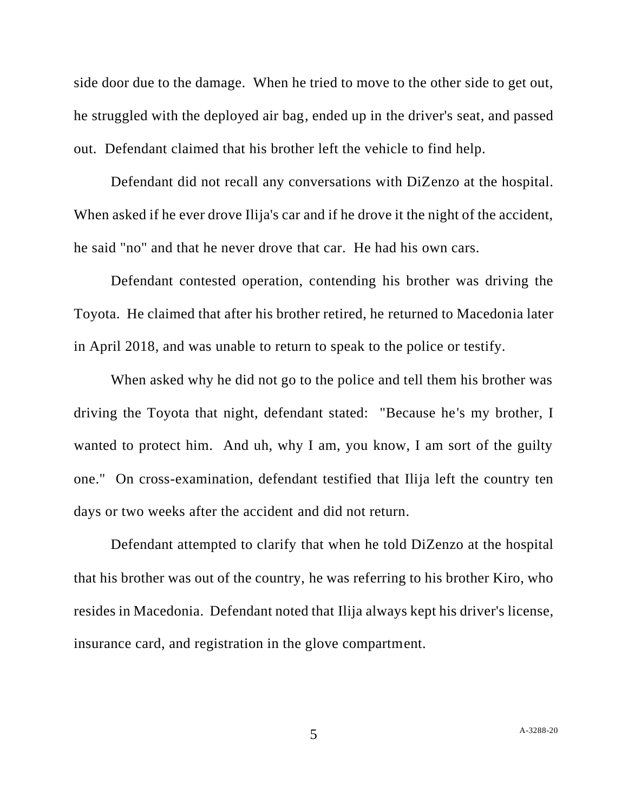side door due to the damage. When he tried to move to the other side to get out, he struggled with the deployed air bag, ended up in the driver's seat, and passed out. Defendant claimed that his brother left the vehicle to find help.

Defendant did not recall any conversations with DiZenzo at the hospital. When asked if he ever drove Ilija's car and if he drove it the night of the accident, he said "no" and that he never drove that car. He had his own cars.

Defendant contested operation, contending his brother was driving the Toyota. He claimed that after his brother retired, he returned to Macedonia later in April 2018, and was unable to return to speak to the police or testify.

When asked why he did not go to the police and tell them his brother was driving the Toyota that night, defendant stated: "Because he's my brother, I wanted to protect him. And uh, why I am, you know, I am sort of the guilty one." On cross-examination, defendant testified that Ilija left the country ten days or two weeks after the accident and did not return.

Defendant attempted to clarify that when he told DiZenzo at the hospital that his brother was out of the country, he was referring to his brother Kiro, who resides in Macedonia. Defendant noted that Ilija always kept his driver's license, insurance card, and registration in the glove compartment.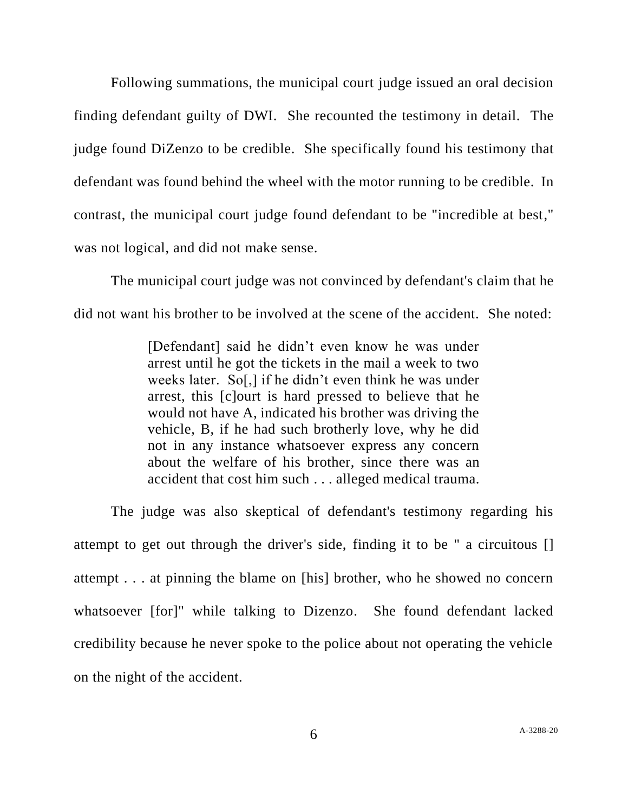Following summations, the municipal court judge issued an oral decision finding defendant guilty of DWI. She recounted the testimony in detail. The judge found DiZenzo to be credible. She specifically found his testimony that defendant was found behind the wheel with the motor running to be credible. In contrast, the municipal court judge found defendant to be "incredible at best," was not logical, and did not make sense.

The municipal court judge was not convinced by defendant's claim that he did not want his brother to be involved at the scene of the accident. She noted:

> [Defendant] said he didn't even know he was under arrest until he got the tickets in the mail a week to two weeks later. So[,] if he didn't even think he was under arrest, this [c]ourt is hard pressed to believe that he would not have A, indicated his brother was driving the vehicle, B, if he had such brotherly love, why he did not in any instance whatsoever express any concern about the welfare of his brother, since there was an accident that cost him such . . . alleged medical trauma.

The judge was also skeptical of defendant's testimony regarding his attempt to get out through the driver's side, finding it to be " a circuitous [] attempt . . . at pinning the blame on [his] brother, who he showed no concern whatsoever [for]" while talking to Dizenzo. She found defendant lacked credibility because he never spoke to the police about not operating the vehicle on the night of the accident.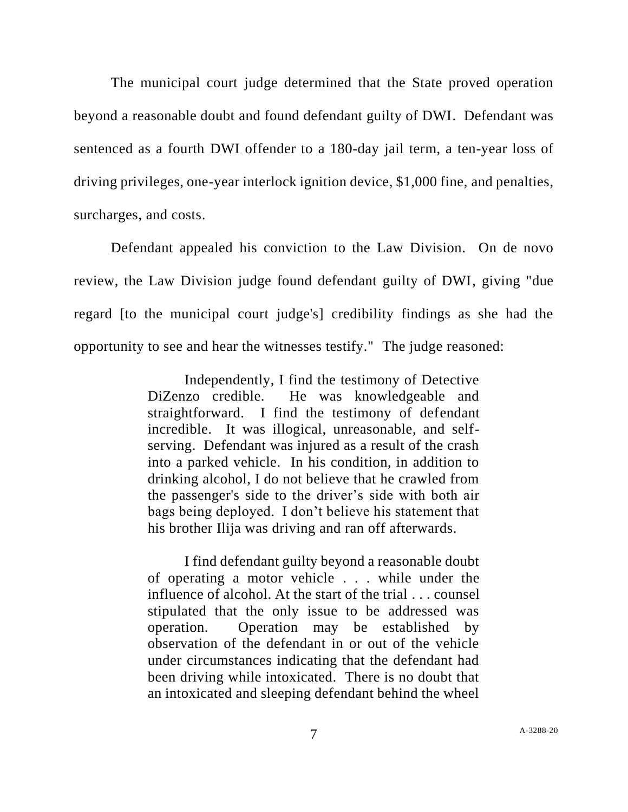The municipal court judge determined that the State proved operation beyond a reasonable doubt and found defendant guilty of DWI. Defendant was sentenced as a fourth DWI offender to a 180-day jail term, a ten-year loss of driving privileges, one-year interlock ignition device, \$1,000 fine, and penalties, surcharges, and costs.

Defendant appealed his conviction to the Law Division. On de novo review, the Law Division judge found defendant guilty of DWI, giving "due regard [to the municipal court judge's] credibility findings as she had the opportunity to see and hear the witnesses testify." The judge reasoned:

> Independently, I find the testimony of Detective DiZenzo credible. He was knowledgeable and straightforward. I find the testimony of defendant incredible. It was illogical, unreasonable, and selfserving. Defendant was injured as a result of the crash into a parked vehicle. In his condition, in addition to drinking alcohol, I do not believe that he crawled from the passenger's side to the driver's side with both air bags being deployed. I don't believe his statement that his brother Ilija was driving and ran off afterwards.

> I find defendant guilty beyond a reasonable doubt of operating a motor vehicle . . . while under the influence of alcohol. At the start of the trial . . . counsel stipulated that the only issue to be addressed was operation. Operation may be established by observation of the defendant in or out of the vehicle under circumstances indicating that the defendant had been driving while intoxicated. There is no doubt that an intoxicated and sleeping defendant behind the wheel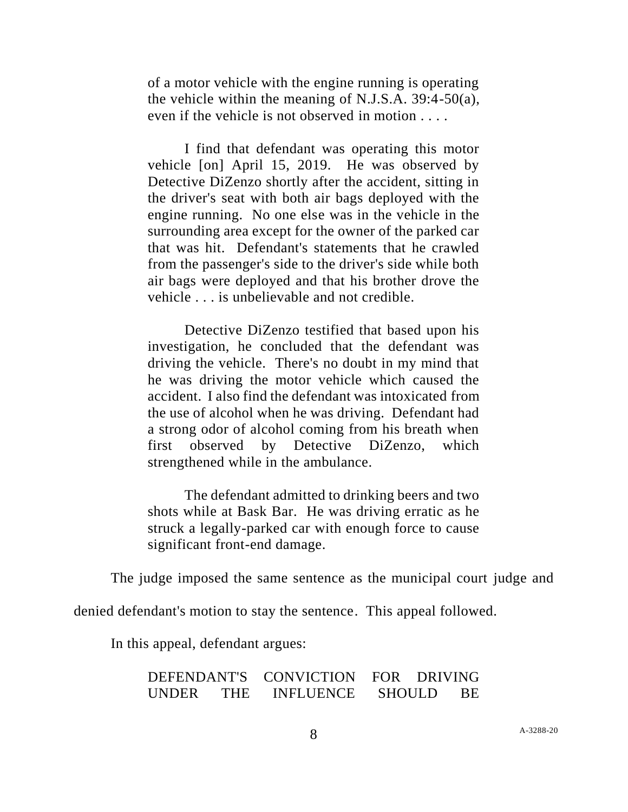of a motor vehicle with the engine running is operating the vehicle within the meaning of N.J.S.A. 39:4-50(a), even if the vehicle is not observed in motion . . . .

I find that defendant was operating this motor vehicle [on] April 15, 2019. He was observed by Detective DiZenzo shortly after the accident, sitting in the driver's seat with both air bags deployed with the engine running. No one else was in the vehicle in the surrounding area except for the owner of the parked car that was hit. Defendant's statements that he crawled from the passenger's side to the driver's side while both air bags were deployed and that his brother drove the vehicle . . . is unbelievable and not credible.

Detective DiZenzo testified that based upon his investigation, he concluded that the defendant was driving the vehicle. There's no doubt in my mind that he was driving the motor vehicle which caused the accident. I also find the defendant was intoxicated from the use of alcohol when he was driving. Defendant had a strong odor of alcohol coming from his breath when first observed by Detective DiZenzo, which strengthened while in the ambulance.

The defendant admitted to drinking beers and two shots while at Bask Bar. He was driving erratic as he struck a legally-parked car with enough force to cause significant front-end damage.

The judge imposed the same sentence as the municipal court judge and

denied defendant's motion to stay the sentence. This appeal followed.

In this appeal, defendant argues:

| DEFENDANT'S CONVICTION |            |                  | FOR DRIVING   |     |
|------------------------|------------|------------------|---------------|-----|
| <b>UNDER</b>           | <b>THE</b> | <b>INFLUENCE</b> | <b>SHOULD</b> | BE. |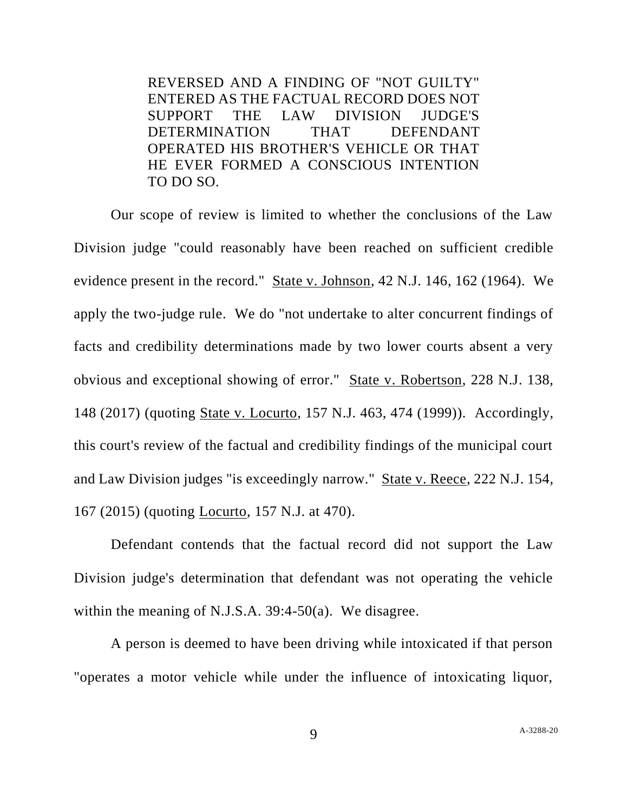REVERSED AND A FINDING OF "NOT GUILTY" ENTERED AS THE FACTUAL RECORD DOES NOT SUPPORT THE LAW DIVISION JUDGE'S DETERMINATION THAT DEFENDANT OPERATED HIS BROTHER'S VEHICLE OR THAT HE EVER FORMED A CONSCIOUS INTENTION TO DO SO.

Our scope of review is limited to whether the conclusions of the Law Division judge "could reasonably have been reached on sufficient credible evidence present in the record." State v. Johnson, 42 N.J. 146, 162 (1964). We apply the two-judge rule. We do "not undertake to alter concurrent findings of facts and credibility determinations made by two lower courts absent a very obvious and exceptional showing of error." State v. Robertson, 228 N.J. 138, 148 (2017) (quoting State v. Locurto, 157 N.J. 463, 474 (1999)). Accordingly, this court's review of the factual and credibility findings of the municipal court and Law Division judges "is exceedingly narrow." State v. Reece, 222 N.J. 154, 167 (2015) (quoting Locurto, 157 N.J. at 470).

Defendant contends that the factual record did not support the Law Division judge's determination that defendant was not operating the vehicle within the meaning of N.J.S.A. 39:4-50(a). We disagree.

A person is deemed to have been driving while intoxicated if that person "operates a motor vehicle while under the influence of intoxicating liquor,

9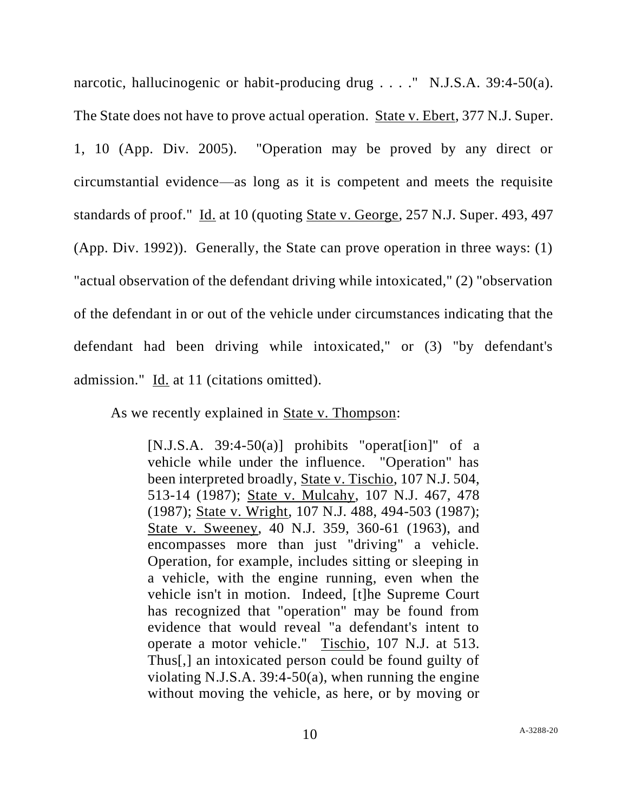narcotic, hallucinogenic or habit-producing drug . . . . " N.J.S.A. 39:4-50(a). The State does not have to prove actual operation. State v. Ebert, 377 N.J. Super. 1, 10 (App. Div. 2005). "Operation may be proved by any direct or circumstantial evidence—as long as it is competent and meets the requisite standards of proof." Id. at 10 (quoting State v. George, 257 N.J. Super. 493, 497 (App. Div. 1992)). Generally, the State can prove operation in three ways: (1) "actual observation of the defendant driving while intoxicated," (2) "observation of the defendant in or out of the vehicle under circumstances indicating that the defendant had been driving while intoxicated," or (3) "by defendant's admission." Id. at 11 (citations omitted).

As we recently explained in State v. Thompson:

 $[N.J.S.A. 39:4-50(a)]$  prohibits "operaterion" of a vehicle while under the influence. "Operation" has been interpreted broadly, State v. Tischio, 107 N.J. 504, 513-14 (1987); State v. Mulcahy, 107 N.J. 467, 478 (1987); State v. Wright, 107 N.J. 488, 494-503 (1987); State v. Sweeney, 40 N.J. 359, 360-61 (1963), and encompasses more than just "driving" a vehicle. Operation, for example, includes sitting or sleeping in a vehicle, with the engine running, even when the vehicle isn't in motion. Indeed, [t]he Supreme Court has recognized that "operation" may be found from evidence that would reveal "a defendant's intent to operate a motor vehicle." Tischio, 107 N.J. at 513. Thus[,] an intoxicated person could be found guilty of violating N.J.S.A. 39:4-50(a), when running the engine without moving the vehicle, as here, or by moving or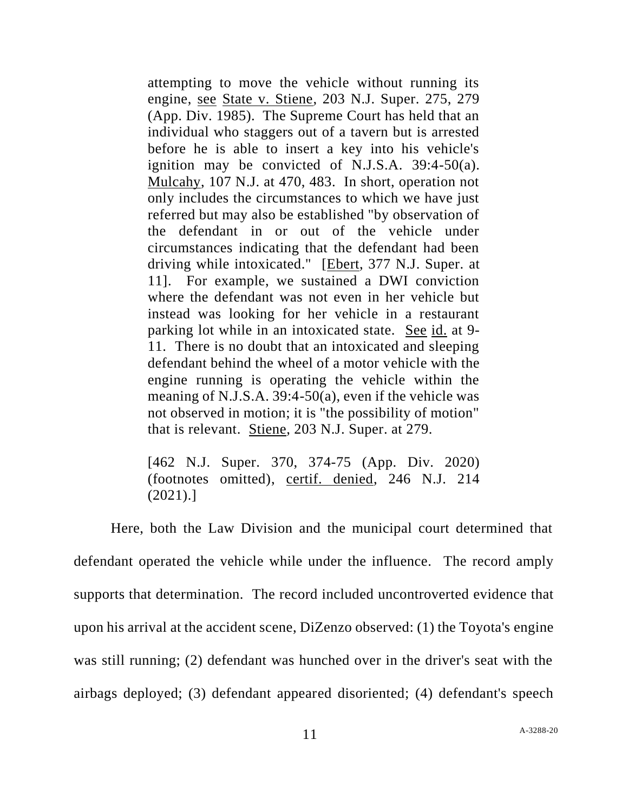attempting to move the vehicle without running its engine, see State v. Stiene, 203 N.J. Super. 275, 279 (App. Div. 1985). The Supreme Court has held that an individual who staggers out of a tavern but is arrested before he is able to insert a key into his vehicle's ignition may be convicted of N.J.S.A. 39:4-50(a). Mulcahy, 107 N.J. at 470, 483. In short, operation not only includes the circumstances to which we have just referred but may also be established "by observation of the defendant in or out of the vehicle under circumstances indicating that the defendant had been driving while intoxicated." [Ebert, 377 N.J. Super. at 11]. For example, we sustained a DWI conviction where the defendant was not even in her vehicle but instead was looking for her vehicle in a restaurant parking lot while in an intoxicated state. See id. at 9- 11. There is no doubt that an intoxicated and sleeping defendant behind the wheel of a motor vehicle with the engine running is operating the vehicle within the meaning of N.J.S.A. 39:4-50(a), even if the vehicle was not observed in motion; it is "the possibility of motion" that is relevant. Stiene, 203 N.J. Super. at 279.

[462 N.J. Super. 370, 374-75 (App. Div. 2020) (footnotes omitted), certif. denied, 246 N.J. 214 (2021).]

Here, both the Law Division and the municipal court determined that defendant operated the vehicle while under the influence. The record amply supports that determination. The record included uncontroverted evidence that upon his arrival at the accident scene, DiZenzo observed: (1) the Toyota's engine was still running; (2) defendant was hunched over in the driver's seat with the airbags deployed; (3) defendant appeared disoriented; (4) defendant's speech